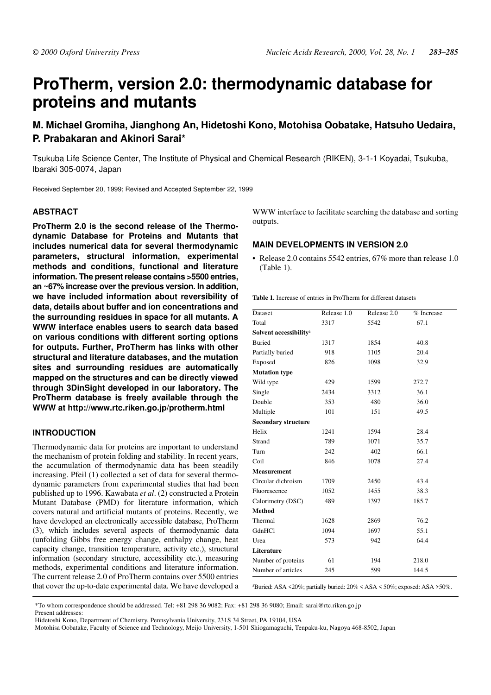# **ProTherm, version 2.0: thermodynamic database for proteins and mutants**

# **M. Michael Gromiha, Jianghong An, Hidetoshi Kono, Motohisa Oobatake, Hatsuho Uedaira, P. Prabakaran and Akinori Sarai\***

Tsukuba Life Science Center, The Institute of Physical and Chemical Research (RIKEN), 3-1-1 Koyadai, Tsukuba, Ibaraki 305-0074, Japan

Received September 20, 1999; Revised and Accepted September 22, 1999

#### **ABSTRACT**

**ProTherm 2.0 is the second release of the Thermodynamic Database for Proteins and Mutants that includes numerical data for several thermodynamic parameters, structural information, experimental methods and conditions, functional and literature information. The present release contains >5500 entries, an ~67% increase over the previous version. In addition, we have included information about reversibility of data, details about buffer and ion concentrations and the surrounding residues in space for all mutants. A WWW interface enables users to search data based on various conditions with different sorting options for outputs. Further, ProTherm has links with other structural and literature databases, and the mutation sites and surrounding residues are automatically mapped on the structures and can be directly viewed through 3DinSight developed in our laboratory. The ProTherm database is freely available through the WWW at http://www.rtc.riken.go.jp/protherm.html**

#### **INTRODUCTION**

Thermodynamic data for proteins are important to understand the mechanism of protein folding and stability. In recent years, the accumulation of thermodynamic data has been steadily increasing. Pfeil (1) collected a set of data for several thermodynamic parameters from experimental studies that had been published up to 1996. Kawabata *et al*. (2) constructed a Protein Mutant Database (PMD) for literature information, which covers natural and artificial mutants of proteins. Recently, we have developed an electronically accessible database, ProTherm (3), which includes several aspects of thermodynamic data (unfolding Gibbs free energy change, enthalpy change, heat capacity change, transition temperature, activity etc.), structural information (secondary structure, accessibility etc.), measuring methods, experimental conditions and literature information. The current release 2.0 of ProTherm contains over 5500 entries that cover the up-to-date experimental data. We have developed a WWW interface to facilitate searching the database and sorting outputs.

#### **MAIN DEVELOPMENTS IN VERSION 2.0**

• Release 2.0 contains 5542 entries, 67% more than release 1.0 (Table 1).

**Table 1.** Increase of entries in ProTherm for different datasets

| Dataset                            | Release 1.0 | Release 2.0 | % Increase |
|------------------------------------|-------------|-------------|------------|
| Total                              | 3317        | 5542        | 67.1       |
| Solvent accessibility <sup>a</sup> |             |             |            |
| <b>Buried</b>                      | 1317        | 1854        | 40.8       |
| Partially buried                   | 918         | 1105        | 20.4       |
| Exposed                            | 826         | 1098        | 32.9       |
| <b>Mutation type</b>               |             |             |            |
| Wild type                          | 429         | 1599        | 272.7      |
| Single                             | 2434        | 3312        | 36.1       |
| Double                             | 353         | 480         | 36.0       |
| Multiple                           | 101         | 151         | 49.5       |
| <b>Secondary structure</b>         |             |             |            |
| Helix                              | 1241        | 1594        | 28.4       |
| Strand                             | 789         | 1071        | 35.7       |
| Turn                               | 242         | 402         | 66.1       |
| Coil                               | 846         | 1078        | 27.4       |
| <b>Measurement</b>                 |             |             |            |
| Circular dichroism                 | 1709        | 2450        | 43.4       |
| Fluorescence                       | 1052        | 1455        | 38.3       |
| Calorimetry (DSC)                  | 489         | 1397        | 185.7      |
| <b>Method</b>                      |             |             |            |
| Thermal                            | 1628        | 2869        | 76.2       |
| GdnHCl                             | 1094        | 1697        | 55.1       |
| Urea                               | 573         | 942         | 64.4       |
| Literature                         |             |             |            |
| Number of proteins                 | 61          | 194         | 218.0      |
| Number of articles                 | 245         | 599         | 144.5      |

<sup>a</sup>Buried: ASA <20%; partially buried: 20% < ASA < 50%; exposed: ASA >50%.

\*To whom correspondence should be addressed. Tel: +81 298 36 9082; Fax: +81 298 36 9080; Email: sarai@rtc.riken.go.jp Present addresses:

Hidetoshi Kono, Department of Chemistry, Pennsylvania University, 231S 34 Street, PA 19104, USA

Motohisa Oobatake, Faculty of Science and Technology, Meijo University, 1-501 Shiogamaguchi, Tenpaku-ku, Nagoya 468-8502, Japan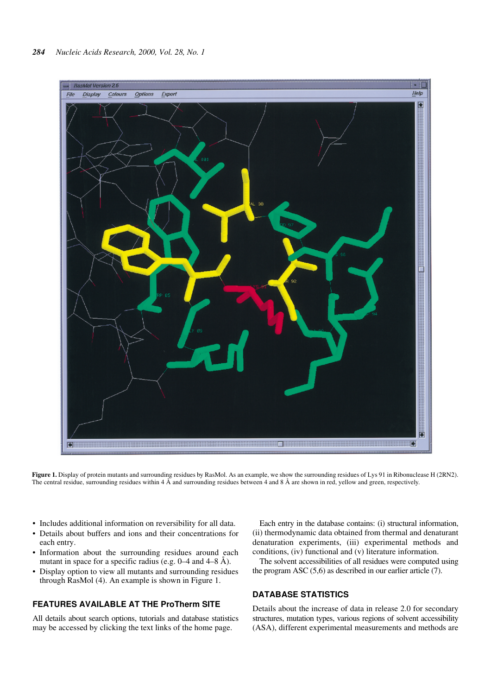

**Figure 1.** Display of protein mutants and surrounding residues by RasMol. As an example, we show the surrounding residues of Lys 91 in Ribonuclease H (2RN2). The central residue, surrounding residues within 4 Å and surrounding residues between 4 and 8 Å are shown in red, yellow and green, respectively.

- Includes additional information on reversibility for all data.
- Details about buffers and ions and their concentrations for each entry.
- Information about the surrounding residues around each mutant in space for a specific radius (e.g. 0–4 and 4–8 Å).
- Display option to view all mutants and surrounding residues through RasMol (4). An example is shown in Figure 1.

#### **FEATURES AVAILABLE AT THE ProTherm SITE**

All details about search options, tutorials and database statistics may be accessed by clicking the text links of the home page.

Each entry in the database contains: (i) structural information, (ii) thermodynamic data obtained from thermal and denaturant denaturation experiments, (iii) experimental methods and conditions, (iv) functional and (v) literature information.

The solvent accessibilities of all residues were computed using the program ASC (5,6) as described in our earlier article (7).

#### **DATABASE STATISTICS**

Details about the increase of data in release 2.0 for secondary structures, mutation types, various regions of solvent accessibility (ASA), different experimental measurements and methods are